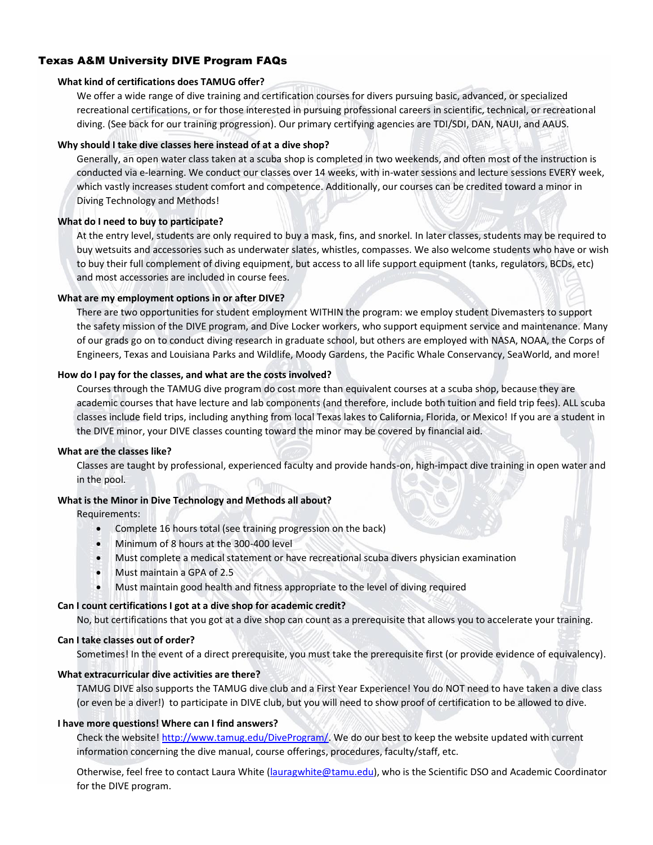## Texas A&M University DIVE Program FAQs

#### **What kind of certifications does TAMUG offer?**

We offer a wide range of dive training and certification courses for divers pursuing basic, advanced, or specialized recreational certifications, or for those interested in pursuing professional careers in scientific, technical, or recreational diving. (See back for our training progression). Our primary certifying agencies are TDI/SDI, DAN, NAUI, and AAUS.

#### **Why should I take dive classes here instead of at a dive shop?**

Generally, an open water class taken at a scuba shop is completed in two weekends, and often most of the instruction is conducted via e-learning. We conduct our classes over 14 weeks, with in-water sessions and lecture sessions EVERY week, which vastly increases student comfort and competence. Additionally, our courses can be credited toward a minor in Diving Technology and Methods!

#### **What do I need to buy to participate?**

At the entry level, students are only required to buy a mask, fins, and snorkel. In later classes, students may be required to buy wetsuits and accessories such as underwater slates, whistles, compasses. We also welcome students who have or wish to buy their full complement of diving equipment, but access to all life support equipment (tanks, regulators, BCDs, etc) and most accessories are included in course fees.

#### **What are my employment options in or after DIVE?**

There are two opportunities for student employment WITHIN the program: we employ student Divemasters to support the safety mission of the DIVE program, and Dive Locker workers, who support equipment service and maintenance. Many of our grads go on to conduct diving research in graduate school, but others are employed with NASA, NOAA, the Corps of Engineers, Texas and Louisiana Parks and Wildlife, Moody Gardens, the Pacific Whale Conservancy, SeaWorld, and more!

#### **How do I pay for the classes, and what are the costs involved?**

Courses through the TAMUG dive program do cost more than equivalent courses at a scuba shop, because they are academic courses that have lecture and lab components (and therefore, include both tuition and field trip fees). ALL scuba classes include field trips, including anything from local Texas lakes to California, Florida, or Mexico! If you are a student in the DIVE minor, your DIVE classes counting toward the minor may be covered by financial aid.

#### **What are the classes like?**

Classes are taught by professional, experienced faculty and provide hands-on, high-impact dive training in open water and in the pool.

#### **What is the Minor in Dive Technology and Methods all about?**

#### Requirements:

- Complete 16 hours total (see training progression on the back)
- Minimum of 8 hours at the 300-400 level
- Must complete a medical statement or have recreational scuba divers physician examination
- Must maintain a GPA of 2.5
- Must maintain good health and fitness appropriate to the level of diving required

#### **Can I count certifications I got at a dive shop for academic credit?**

No, but certifications that you got at a dive shop can count as a prerequisite that allows you to accelerate your training.

#### **Can I take classes out of order?**

Sometimes! In the event of a direct prerequisite, you must take the prerequisite first (or provide evidence of equivalency).

#### **What extracurricular dive activities are there?**

TAMUG DIVE also supports the TAMUG dive club and a First Year Experience! You do NOT need to have taken a dive class (or even be a diver!) to participate in DIVE club, but you will need to show proof of certification to be allowed to dive.

#### **I have more questions! Where can I find answers?**

Check the website! [http://www.tamug.edu/DiveProgram/.](http://www.tamug.edu/DiveProgram/) We do our best to keep the website updated with current information concerning the dive manual, course offerings, procedures, faculty/staff, etc.

Otherwise, feel free to contact Laura White [\(lauragwhite@tamu.edu\)](mailto:lauragwhite@tamu.edu), who is the Scientific DSO and Academic Coordinator for the DIVE program.